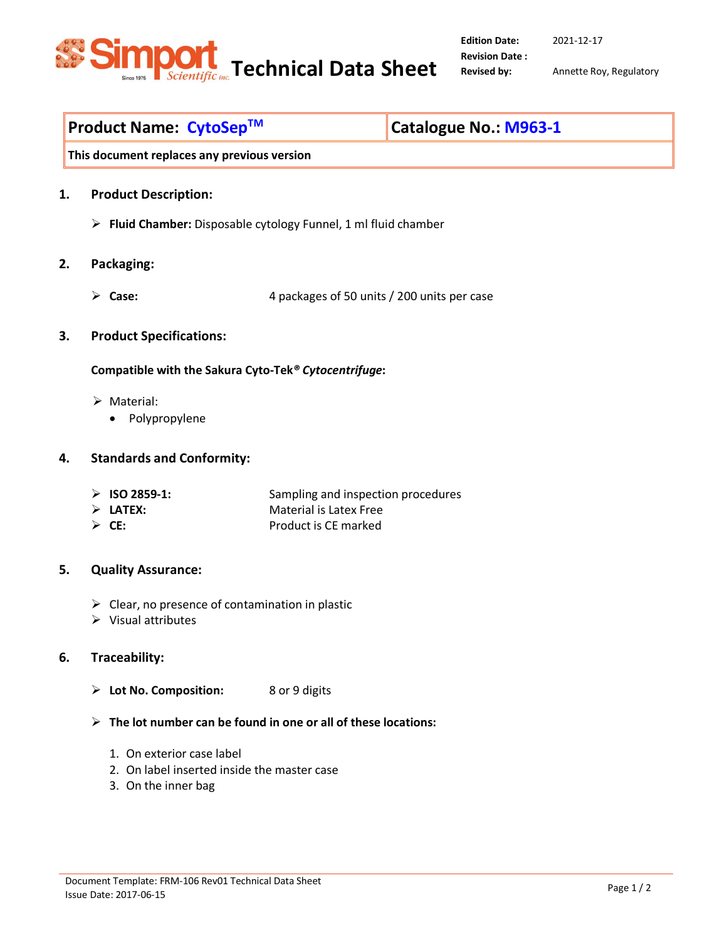

**Edition Date: Revision Date :**  2021-12-17

**Revised by:** Annette Roy, Regulatory

# **Product Name: CytoSep<sup>™</sup> △ △ △ △ △ △ △ △ △ △ △ △ △ △ △ △ △ A963-1**

**This document replaces any previous version** 

- **1. Product Description:** 
	- **Fluid Chamber:** Disposable cytology Funnel, 1 ml fluid chamber
- **2. Packaging:** 
	- **Case:** 4 packages of 50 units / 200 units per case
- **3. Product Specifications:**

**Compatible with the Sakura Cyto-Tek***® Cytocentrifuge***:** 

- > Material:
	- Polypropylene

#### **4. Standards and Conformity:**

- **ISO 2859-1:** Sampling and inspection procedures
- **LATEX:** Material is Latex Free
- **CE:** Product is CE marked

# **5. Quality Assurance:**

- $\triangleright$  Clear, no presence of contamination in plastic
- $\triangleright$  Visual attributes

# **6. Traceability:**

- **Lot No. Composition:** 8 or 9 digits
- **The lot number can be found in one or all of these locations:**
	- 1. On exterior case label
	- 2. On label inserted inside the master case
	- 3. On the inner bag